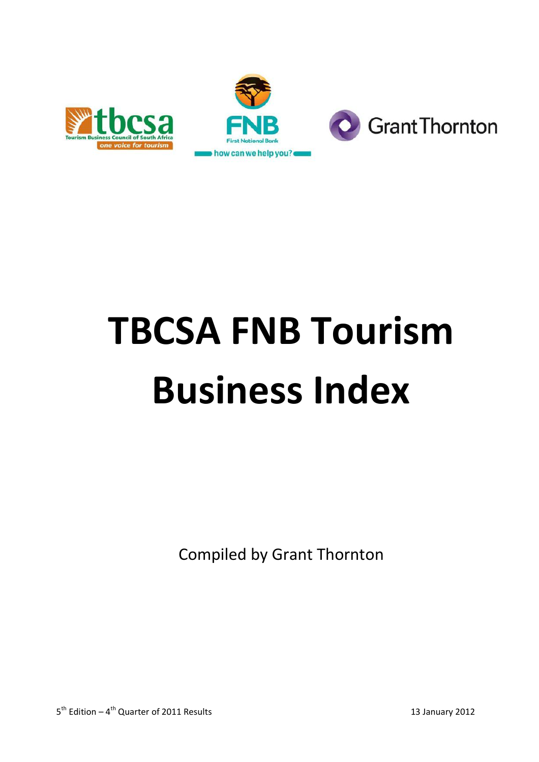



# **TBCSA FNB Tourism Business Index**

Compiled by Grant Thornton

5<sup>th</sup> Edition – 4<sup>th</sup> Quarter of 2011 Results 13 January 2012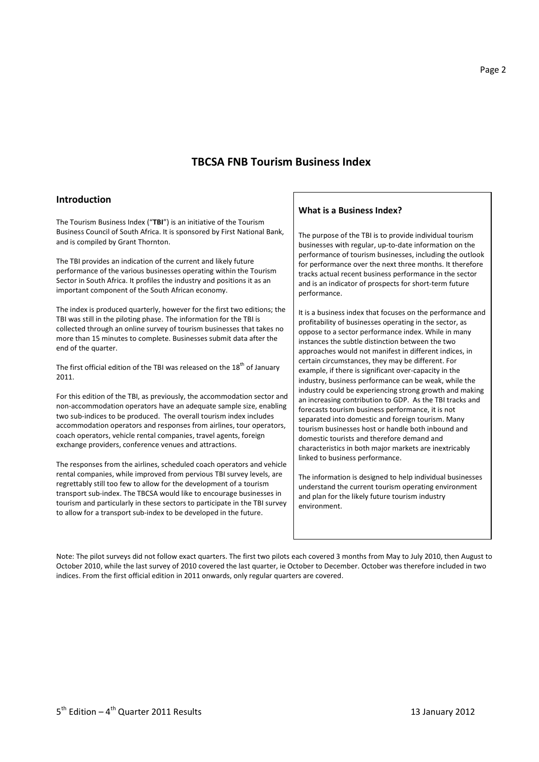## **TBCSA FNB Tourism Business Index**

#### **Introduction**

The Tourism Business Index ("**TBI**") is an initiative of the Tourism Business Council of South Africa. It is sponsored by First National Bank, and is compiled by Grant Thornton.

The TBI provides an indication of the current and likely future performance of the various businesses operating within the Tourism Sector in South Africa. It profiles the industry and positions it as an important component of the South African economy.

The index is produced quarterly, however for the first two editions; the TBI was still in the piloting phase. The information for the TBI is collected through an online survey of tourism businesses that takes no more than 15 minutes to complete. Businesses submit data after the end of the quarter.

The first official edition of the TBI was released on the  $18<sup>th</sup>$  of January 2011.

For this edition of the TBI, as previously, the accommodation sector and non-accommodation operators have an adequate sample size, enabling two sub-indices to be produced. The overall tourism index includes accommodation operators and responses from airlines, tour operators, coach operators, vehicle rental companies, travel agents, foreign exchange providers, conference venues and attractions.

The responses from the airlines, scheduled coach operators and vehicle rental companies, while improved from pervious TBI survey levels, are regrettably still too few to allow for the development of a tourism transport sub-index. The TBCSA would like to encourage businesses in tourism and particularly in these sectors to participate in the TBI survey to allow for a transport sub-index to be developed in the future.

#### **What is a Business Index?**

The purpose of the TBI is to provide individual tourism businesses with regular, up-to-date information on the performance of tourism businesses, including the outlook for performance over the next three months. It therefore tracks actual recent business performance in the sector and is an indicator of prospects for short-term future performance.

It is a business index that focuses on the performance and profitability of businesses operating in the sector, as oppose to a sector performance index. While in many instances the subtle distinction between the two approaches would not manifest in different indices, in certain circumstances, they may be different. For example, if there is significant over-capacity in the industry, business performance can be weak, while the industry could be experiencing strong growth and making an increasing contribution to GDP. As the TBI tracks and forecasts tourism business performance, it is not separated into domestic and foreign tourism. Many tourism businesses host or handle both inbound and domestic tourists and therefore demand and characteristics in both major markets are inextricably linked to business performance.

The information is designed to help individual businesses understand the current tourism operating environment and plan for the likely future tourism industry environment.

Note: The pilot surveys did not follow exact quarters. The first two pilots each covered 3 months from May to July 2010, then August to October 2010, while the last survey of 2010 covered the last quarter, ie October to December. October was therefore included in two indices. From the first official edition in 2011 onwards, only regular quarters are covered.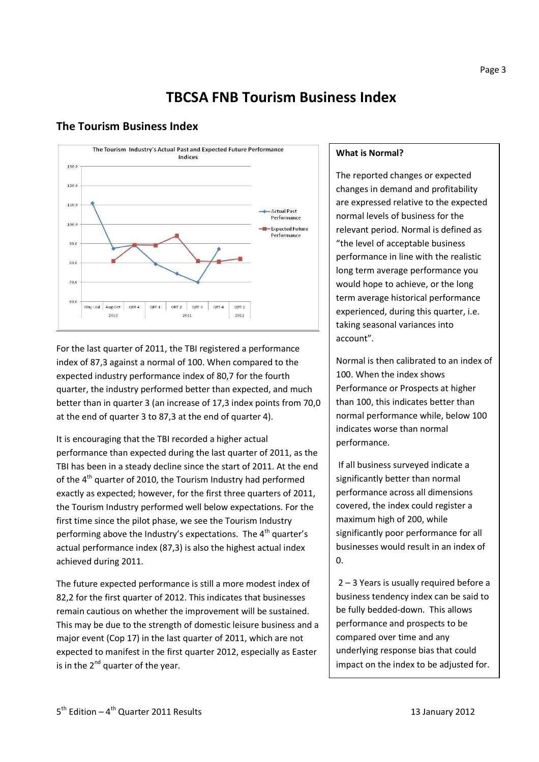#### Page 3

# **TBCSA FNB Tourism Business Index**

## **The Tourism Business Index**



For the last quarter of 2011, the TBI registered a performance index of 87,3 against a normal of 100. When compared to the expected industry performance index of 80,7 for the fourth quarter, the industry performed better than expected, and much better than in quarter 3 (an increase of 17,3 index points from 70,0 at the end of quarter 3 to 87,3 at the end of quarter 4).

It is encouraging that the TBI recorded a higher actual performance than expected during the last quarter of 2011, as the TBI has been in a steady decline since the start of 2011. At the end of the  $4<sup>th</sup>$  quarter of 2010, the Tourism Industry had performed exactly as expected; however, for the first three quarters of 2011, the Tourism Industry performed well below expectations. For the first time since the pilot phase, we see the Tourism Industry performing above the Industry's expectations. The  $4<sup>th</sup>$  quarter's actual performance index (87,3) is also the highest actual index achieved during 2011.

The future expected performance is still a more modest index of 82,2 for the first quarter of 2012. This indicates that businesses remain cautious on whether the improvement will be sustained. This may be due to the strength of domestic leisure business and a major event (Cop 17) in the last quarter of 2011, which are not expected to manifest in the first quarter 2012, especially as Easter is in the  $2^{nd}$  quarter of the year.

#### **What is Normal?**

The reported changes or expected changes in demand and profitability are expressed relative to the expected normal levels of business for the relevant period. Normal is defined as "the level of acceptable business performance in line with the realistic long term average performance you would hope to achieve, or the long term average historical performance experienced, during this quarter, i.e. taking seasonal variances into account".

Normal is then calibrated to an index of 100. When the index shows Performance or Prospects at higher than 100, this indicates better than normal performance while, below 100 indicates worse than normal performance.

 If all business surveyed indicate a significantly better than normal performance across all dimensions covered, the index could register a maximum high of 200, while significantly poor performance for all businesses would result in an index of  $\overline{0}$ .

 2 – 3 Years is usually required before a business tendency index can be said to be fully bedded-down. This allows performance and prospects to be compared over time and any underlying response bias that could impact on the index to be adjusted for.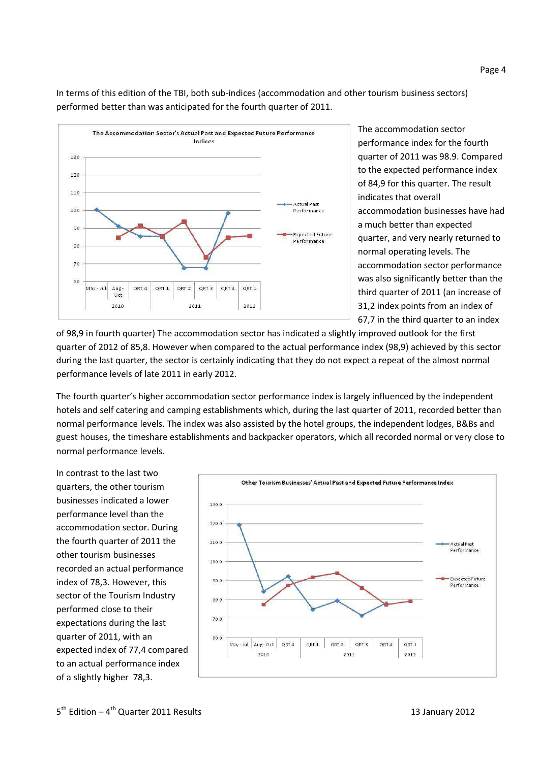In terms of this edition of the TBI, both sub-indices (accommodation and other tourism business sectors) performed better than was anticipated for the fourth quarter of 2011.



The accommodation sector performance index for the fourth quarter of 2011 was 98.9. Compared to the expected performance index of 84,9 for this quarter. The result indicates that overall accommodation businesses have had a much better than expected quarter, and very nearly returned to normal operating levels. The accommodation sector performance was also significantly better than the third quarter of 2011 (an increase of 31,2 index points from an index of 67,7 in the third quarter to an index

of 98,9 in fourth quarter) The accommodation sector has indicated a slightly improved outlook for the first quarter of 2012 of 85,8. However when compared to the actual performance index (98,9) achieved by this sector during the last quarter, the sector is certainly indicating that they do not expect a repeat of the almost normal performance levels of late 2011 in early 2012.

The fourth quarter's higher accommodation sector performance index is largely influenced by the independent hotels and self catering and camping establishments which, during the last quarter of 2011, recorded better than normal performance levels. The index was also assisted by the hotel groups, the independent lodges, B&Bs and guest houses, the timeshare establishments and backpacker operators, which all recorded normal or very close to normal performance levels.

In contrast to the last two quarters, the other tourism businesses indicated a lower performance level than the accommodation sector. During the fourth quarter of 2011 the other tourism businesses recorded an actual performance index of 78,3. However, this sector of the Tourism Industry performed close to their expectations during the last quarter of 2011, with an expected index of 77,4 compared to an actual performance index of a slightly higher 78,3.

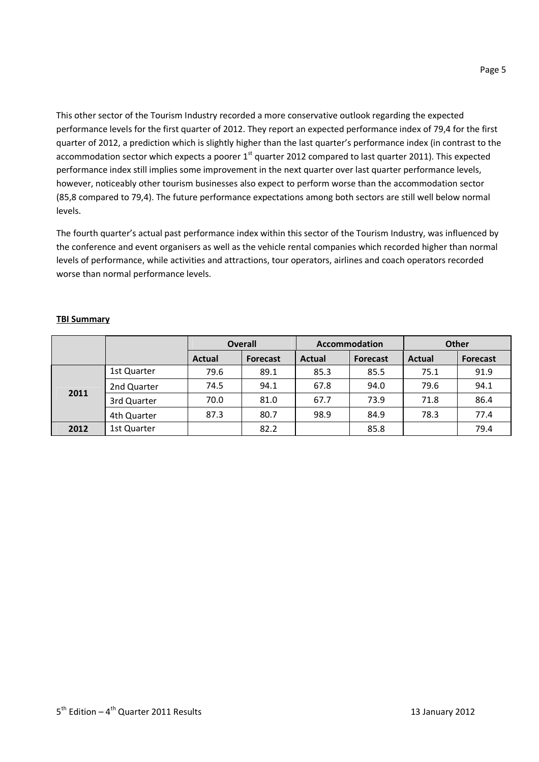This other sector of the Tourism Industry recorded a more conservative outlook regarding the expected performance levels for the first quarter of 2012. They report an expected performance index of 79,4 for the first quarter of 2012, a prediction which is slightly higher than the last quarter's performance index (in contrast to the accommodation sector which expects a poorer  $1<sup>st</sup>$  quarter 2012 compared to last quarter 2011). This expected performance index still implies some improvement in the next quarter over last quarter performance levels, however, noticeably other tourism businesses also expect to perform worse than the accommodation sector (85,8 compared to 79,4). The future performance expectations among both sectors are still well below normal levels.

The fourth quarter's actual past performance index within this sector of the Tourism Industry, was influenced by the conference and event organisers as well as the vehicle rental companies which recorded higher than normal levels of performance, while activities and attractions, tour operators, airlines and coach operators recorded worse than normal performance levels.

## **TBI Summary**

|      |             | <b>Overall</b> |                 |               | Accommodation   | <b>Other</b>  |                 |  |
|------|-------------|----------------|-----------------|---------------|-----------------|---------------|-----------------|--|
|      |             | <b>Actual</b>  | <b>Forecast</b> | <b>Actual</b> | <b>Forecast</b> | <b>Actual</b> | <b>Forecast</b> |  |
|      | 1st Quarter | 79.6           | 89.1            | 85.3          | 85.5            | 75.1          | 91.9            |  |
| 2011 | 2nd Quarter | 74.5           | 94.1            | 67.8          | 94.0            | 79.6          | 94.1            |  |
|      | 3rd Quarter | 70.0           | 81.0            | 67.7          | 73.9            | 71.8          | 86.4            |  |
|      | 4th Quarter | 87.3           | 80.7            | 98.9          | 84.9            | 78.3          | 77.4            |  |
| 2012 | 1st Quarter |                | 82.2            |               | 85.8            |               | 79.4            |  |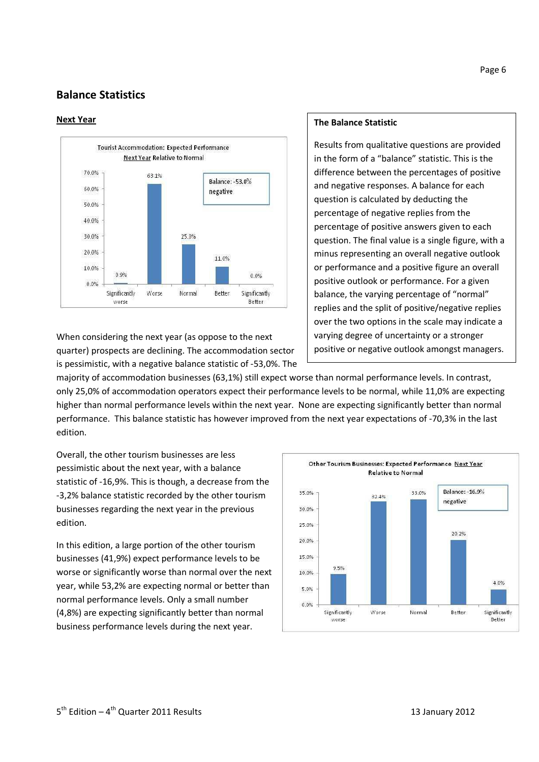# **Balance Statistics**

#### **Next Year**



When considering the next year (as oppose to the next quarter) prospects are declining. The accommodation sector is pessimistic, with a negative balance statistic of -53,0%. The

#### **The Balance Statistic**

Results from qualitative questions are provided in the form of a "balance" statistic. This is the difference between the percentages of positive and negative responses. A balance for each question is calculated by deducting the percentage of negative replies from the percentage of positive answers given to each question. The final value is a single figure, with a minus representing an overall negative outlook or performance and a positive figure an overall positive outlook or performance. For a given balance, the varying percentage of "normal" replies and the split of positive/negative replies over the two options in the scale may indicate a varying degree of uncertainty or a stronger positive or negative outlook amongst managers.

majority of accommodation businesses (63,1%) still expect worse than normal performance levels. In contrast, only 25,0% of accommodation operators expect their performance levels to be normal, while 11,0% are expecting higher than normal performance levels within the next year. None are expecting significantly better than normal performance. This balance statistic has however improved from the next year expectations of -70,3% in the last edition.

Overall, the other tourism businesses are less pessimistic about the next year, with a balance statistic of -16,9%. This is though, a decrease from the -3,2% balance statistic recorded by the other tourism businesses regarding the next year in the previous edition.

In this edition, a large portion of the other tourism businesses (41,9%) expect performance levels to be worse or significantly worse than normal over the next year, while 53,2% are expecting normal or better than normal performance levels. Only a small number (4,8%) are expecting significantly better than normal business performance levels during the next year.

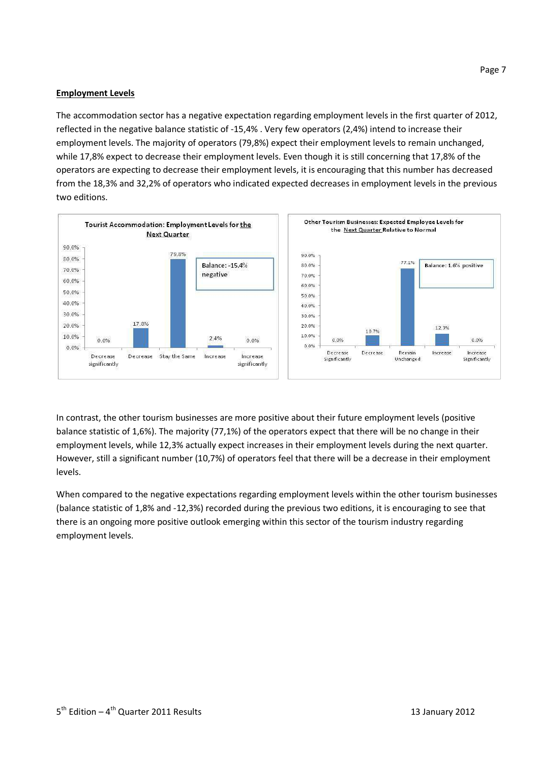#### **Employment Levels**

The accommodation sector has a negative expectation regarding employment levels in the first quarter of 2012, reflected in the negative balance statistic of -15,4% . Very few operators (2,4%) intend to increase their employment levels. The majority of operators (79,8%) expect their employment levels to remain unchanged, while 17,8% expect to decrease their employment levels. Even though it is still concerning that 17,8% of the operators are expecting to decrease their employment levels, it is encouraging that this number has decreased from the 18,3% and 32,2% of operators who indicated expected decreases in employment levels in the previous two editions.



In contrast, the other tourism businesses are more positive about their future employment levels (positive balance statistic of 1,6%). The majority (77,1%) of the operators expect that there will be no change in their employment levels, while 12,3% actually expect increases in their employment levels during the next quarter. However, still a significant number (10,7%) of operators feel that there will be a decrease in their employment levels.

When compared to the negative expectations regarding employment levels within the other tourism businesses (balance statistic of 1,8% and -12,3%) recorded during the previous two editions, it is encouraging to see that there is an ongoing more positive outlook emerging within this sector of the tourism industry regarding employment levels.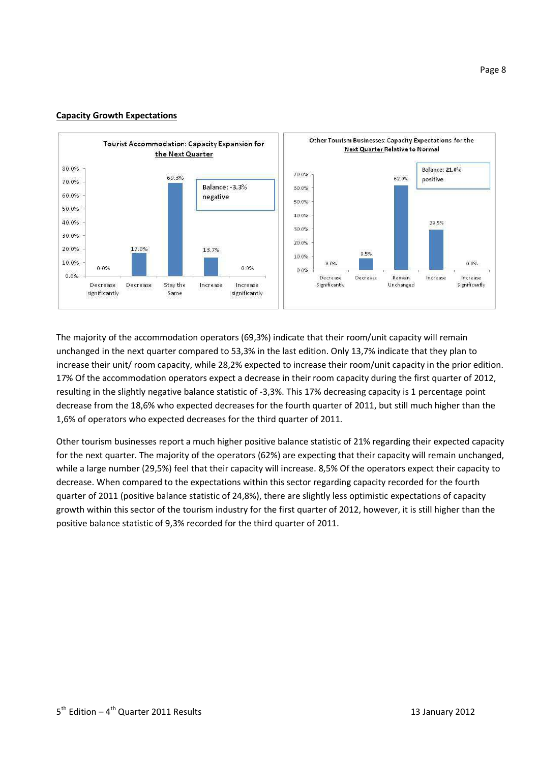#### **Capacity Growth Expectations**



The majority of the accommodation operators (69,3%) indicate that their room/unit capacity will remain unchanged in the next quarter compared to 53,3% in the last edition. Only 13,7% indicate that they plan to increase their unit/ room capacity, while 28,2% expected to increase their room/unit capacity in the prior edition. 17% Of the accommodation operators expect a decrease in their room capacity during the first quarter of 2012, resulting in the slightly negative balance statistic of -3,3%. This 17% decreasing capacity is 1 percentage point decrease from the 18,6% who expected decreases for the fourth quarter of 2011, but still much higher than the 1,6% of operators who expected decreases for the third quarter of 2011.

Other tourism businesses report a much higher positive balance statistic of 21% regarding their expected capacity for the next quarter. The majority of the operators (62%) are expecting that their capacity will remain unchanged, while a large number (29,5%) feel that their capacity will increase. 8,5% Of the operators expect their capacity to decrease. When compared to the expectations within this sector regarding capacity recorded for the fourth quarter of 2011 (positive balance statistic of 24,8%), there are slightly less optimistic expectations of capacity growth within this sector of the tourism industry for the first quarter of 2012, however, it is still higher than the positive balance statistic of 9,3% recorded for the third quarter of 2011.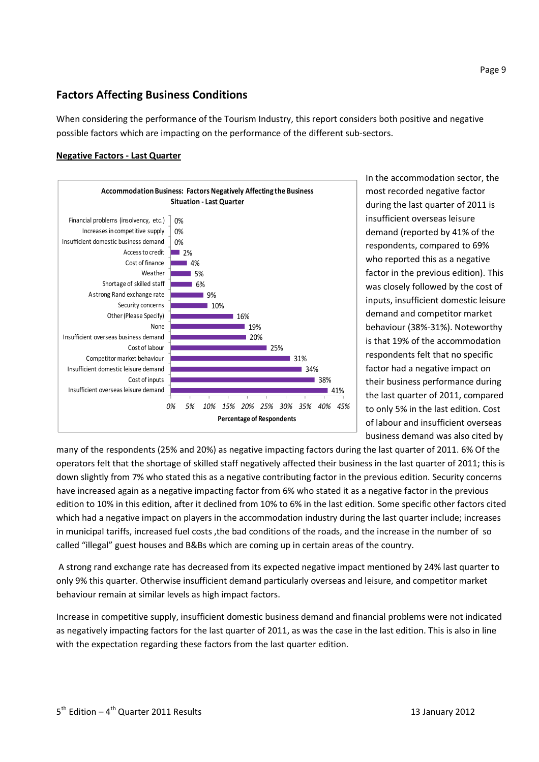# **Factors Affecting Business Conditions**

When considering the performance of the Tourism Industry, this report considers both positive and negative possible factors which are impacting on the performance of the different sub-sectors.

## **Negative Factors - Last Quarter**



In the accommodation sector, the most recorded negative factor during the last quarter of 2011 is insufficient overseas leisure demand (reported by 41% of the respondents, compared to 69% who reported this as a negative factor in the previous edition). This was closely followed by the cost of inputs, insufficient domestic leisure demand and competitor market behaviour (38%-31%). Noteworthy is that 19% of the accommodation respondents felt that no specific factor had a negative impact on their business performance during the last quarter of 2011, compared to only 5% in the last edition. Cost of labour and insufficient overseas business demand was also cited by

many of the respondents (25% and 20%) as negative impacting factors during the last quarter of 2011. 6% Of the operators felt that the shortage of skilled staff negatively affected their business in the last quarter of 2011; this is down slightly from 7% who stated this as a negative contributing factor in the previous edition. Security concerns have increased again as a negative impacting factor from 6% who stated it as a negative factor in the previous edition to 10% in this edition, after it declined from 10% to 6% in the last edition. Some specific other factors cited which had a negative impact on players in the accommodation industry during the last quarter include; increases in municipal tariffs, increased fuel costs ,the bad conditions of the roads, and the increase in the number of so called "illegal" guest houses and B&Bs which are coming up in certain areas of the country.

 A strong rand exchange rate has decreased from its expected negative impact mentioned by 24% last quarter to only 9% this quarter. Otherwise insufficient demand particularly overseas and leisure, and competitor market behaviour remain at similar levels as high impact factors.

Increase in competitive supply, insufficient domestic business demand and financial problems were not indicated as negatively impacting factors for the last quarter of 2011, as was the case in the last edition. This is also in line with the expectation regarding these factors from the last quarter edition.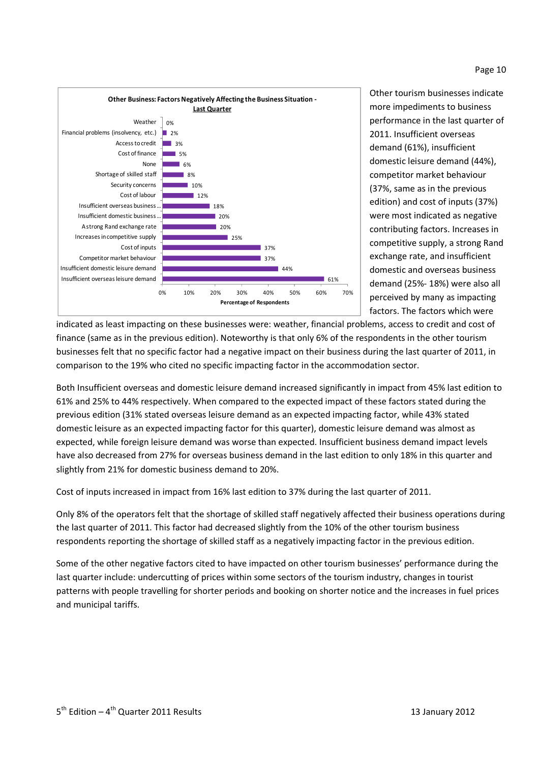#### Page 10



Other tourism businesses indicate more impediments to business performance in the last quarter of 2011. Insufficient overseas demand (61%), insufficient domestic leisure demand (44%), competitor market behaviour (37%, same as in the previous edition) and cost of inputs (37%) were most indicated as negative contributing factors. Increases in competitive supply, a strong Rand exchange rate, and insufficient domestic and overseas business demand (25%- 18%) were also all perceived by many as impacting factors. The factors which were

indicated as least impacting on these businesses were: weather, financial problems, access to credit and cost of finance (same as in the previous edition). Noteworthy is that only 6% of the respondents in the other tourism businesses felt that no specific factor had a negative impact on their business during the last quarter of 2011, in comparison to the 19% who cited no specific impacting factor in the accommodation sector.

Both Insufficient overseas and domestic leisure demand increased significantly in impact from 45% last edition to 61% and 25% to 44% respectively. When compared to the expected impact of these factors stated during the previous edition (31% stated overseas leisure demand as an expected impacting factor, while 43% stated domestic leisure as an expected impacting factor for this quarter), domestic leisure demand was almost as expected, while foreign leisure demand was worse than expected. Insufficient business demand impact levels have also decreased from 27% for overseas business demand in the last edition to only 18% in this quarter and slightly from 21% for domestic business demand to 20%.

Cost of inputs increased in impact from 16% last edition to 37% during the last quarter of 2011.

Only 8% of the operators felt that the shortage of skilled staff negatively affected their business operations during the last quarter of 2011. This factor had decreased slightly from the 10% of the other tourism business respondents reporting the shortage of skilled staff as a negatively impacting factor in the previous edition.

Some of the other negative factors cited to have impacted on other tourism businesses' performance during the last quarter include: undercutting of prices within some sectors of the tourism industry, changes in tourist patterns with people travelling for shorter periods and booking on shorter notice and the increases in fuel prices and municipal tariffs.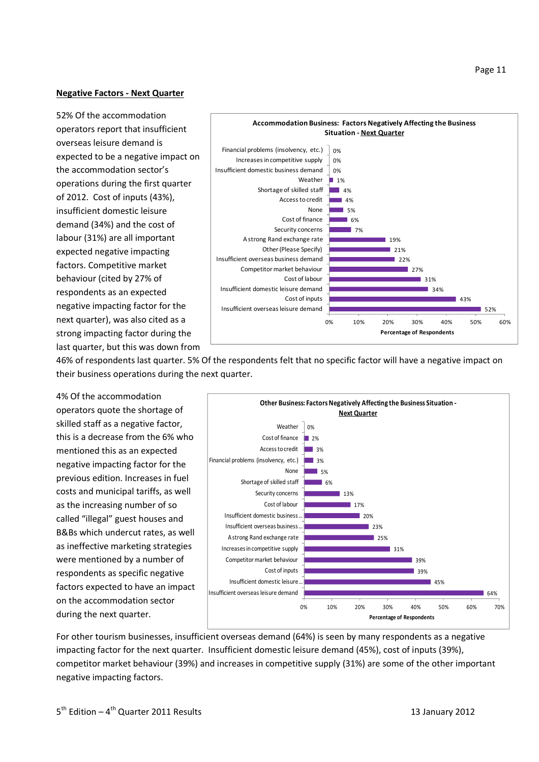#### **Negative Factors - Next Quarter**

52% Of the accommodation operators report that insufficient overseas leisure demand is expected to be a negative impact on the accommodation sector's operations during the first quarter of 2012. Cost of inputs (43%), insufficient domestic leisure demand (34%) and the cost of labour (31%) are all important expected negative impacting factors. Competitive market behaviour (cited by 27% of respondents as an expected negative impacting factor for the next quarter), was also cited as a strong impacting factor during the last quarter, but this was down from



46% of respondents last quarter. 5% Of the respondents felt that no specific factor will have a negative impact on their business operations during the next quarter.

4% Of the accommodation operators quote the shortage of skilled staff as a negative factor, this is a decrease from the 6% who mentioned this as an expected negative impacting factor for the previous edition. Increases in fuel costs and municipal tariffs, as well as the increasing number of so called "illegal" guest houses and B&Bs which undercut rates, as well as ineffective marketing strategies were mentioned by a number of respondents as specific negative factors expected to have an impact on the accommodation sector during the next quarter.



For other tourism businesses, insufficient overseas demand (64%) is seen by many respondents as a negative impacting factor for the next quarter. Insufficient domestic leisure demand (45%), cost of inputs (39%), competitor market behaviour (39%) and increases in competitive supply (31%) are some of the other important negative impacting factors.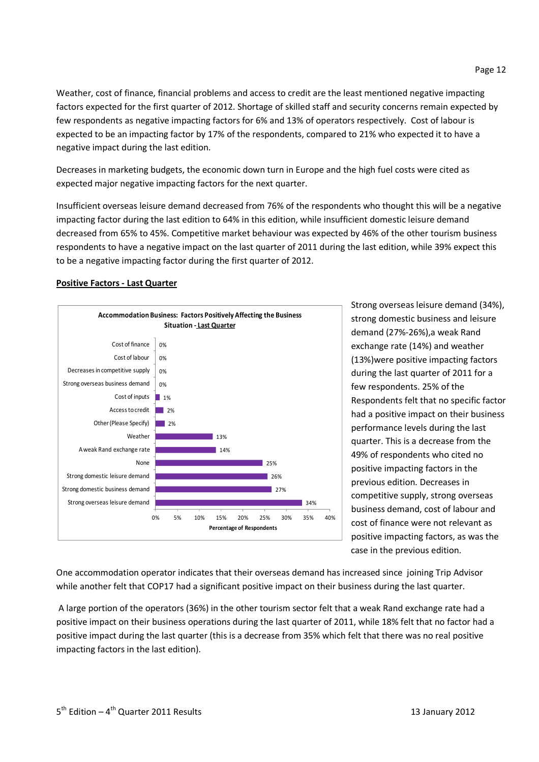Weather, cost of finance, financial problems and access to credit are the least mentioned negative impacting factors expected for the first quarter of 2012. Shortage of skilled staff and security concerns remain expected by few respondents as negative impacting factors for 6% and 13% of operators respectively. Cost of labour is expected to be an impacting factor by 17% of the respondents, compared to 21% who expected it to have a negative impact during the last edition.

Decreases in marketing budgets, the economic down turn in Europe and the high fuel costs were cited as expected major negative impacting factors for the next quarter.

Insufficient overseas leisure demand decreased from 76% of the respondents who thought this will be a negative impacting factor during the last edition to 64% in this edition, while insufficient domestic leisure demand decreased from 65% to 45%. Competitive market behaviour was expected by 46% of the other tourism business respondents to have a negative impact on the last quarter of 2011 during the last edition, while 39% expect this to be a negative impacting factor during the first quarter of 2012.

#### **Positive Factors - Last Quarter**



Strong overseas leisure demand (34%), strong domestic business and leisure demand (27%-26%),a weak Rand exchange rate (14%) and weather (13%)were positive impacting factors during the last quarter of 2011 for a few respondents. 25% of the Respondents felt that no specific factor had a positive impact on their business performance levels during the last quarter. This is a decrease from the 49% of respondents who cited no positive impacting factors in the previous edition. Decreases in competitive supply, strong overseas business demand, cost of labour and cost of finance were not relevant as positive impacting factors, as was the case in the previous edition.

One accommodation operator indicates that their overseas demand has increased since joining Trip Advisor while another felt that COP17 had a significant positive impact on their business during the last quarter.

 A large portion of the operators (36%) in the other tourism sector felt that a weak Rand exchange rate had a positive impact on their business operations during the last quarter of 2011, while 18% felt that no factor had a positive impact during the last quarter (this is a decrease from 35% which felt that there was no real positive impacting factors in the last edition).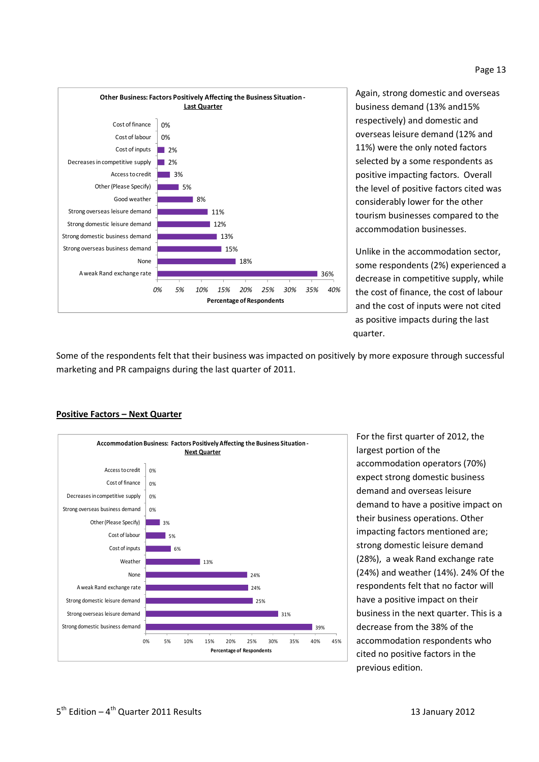



Again, strong domestic and overseas business demand (13% and15% respectively) and domestic and overseas leisure demand (12% and 11%) were the only noted factors selected by a some respondents as positive impacting factors. Overall the level of positive factors cited was considerably lower for the other tourism businesses compared to the accommodation businesses.

Unlike in the accommodation sector, some respondents (2%) experienced a decrease in competitive supply, while the cost of finance, the cost of labour and the cost of inputs were not cited as positive impacts during the last **produced a contract of the contract of the contract of the contract of the contract of the contract of the contract of the contract of the contract of the contract of the contract of the contract of the contract of the co** 

Some of the respondents felt that their business was impacted on positively by more exposure through successful marketing and PR campaigns during the last quarter of 2011.



#### **Positive Factors – Next Quarter**

For the first quarter of 2012, the largest portion of the accommodation operators (70%) expect strong domestic business demand and overseas leisure demand to have a positive impact on their business operations. Other impacting factors mentioned are; strong domestic leisure demand (28%), a weak Rand exchange rate (24%) and weather (14%). 24% Of the respondents felt that no factor will have a positive impact on their business in the next quarter. This is a decrease from the 38% of the accommodation respondents who cited no positive factors in the previous edition.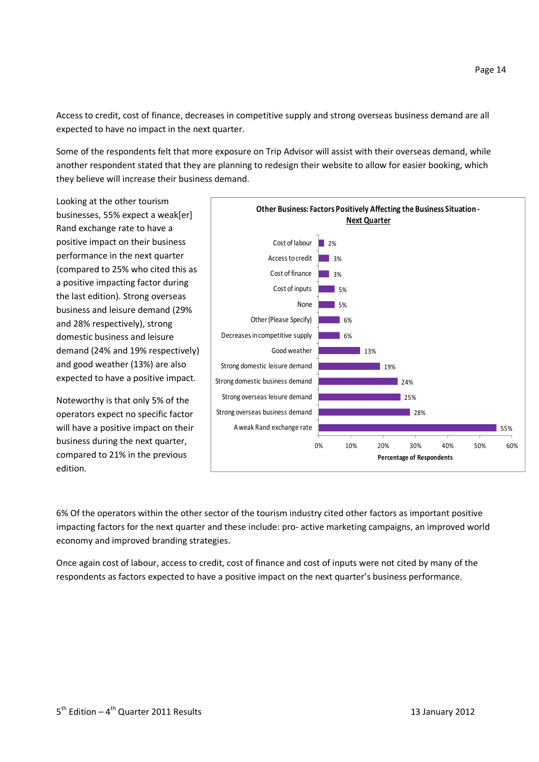Access to credit, cost of finance, decreases in competitive supply and strong overseas business demand are all expected to have no impact in the next quarter.

Some of the respondents felt that more exposure on Trip Advisor will assist with their overseas demand, while another respondent stated that they are planning to redesign their website to allow for easier booking, which they believe will increase their business demand.

Looking at the other tourism businesses, 55% expect a weak[er] Rand exchange rate to have a positive impact on their business performance in the next quarter (compared to 25% who cited this as a positive impacting factor during the last edition). Strong overseas business and leisure demand (29% and 28% respectively), strong domestic business and leisure demand (24% and 19% respectively) and good weather (13%) are also expected to have a positive impact.

Noteworthy is that only 5% of the operators expect no specific factor will have a positive impact on their business during the next quarter, compared to 21% in the previous edition.



6% Of the operators within the other sector of the tourism industry cited other factors as important positive impacting factors for the next quarter and these include: pro- active marketing campaigns, an improved world economy and improved branding strategies.

Once again cost of labour, access to credit, cost of finance and cost of inputs were not cited by many of the respondents as factors expected to have a positive impact on the next quarter's business performance.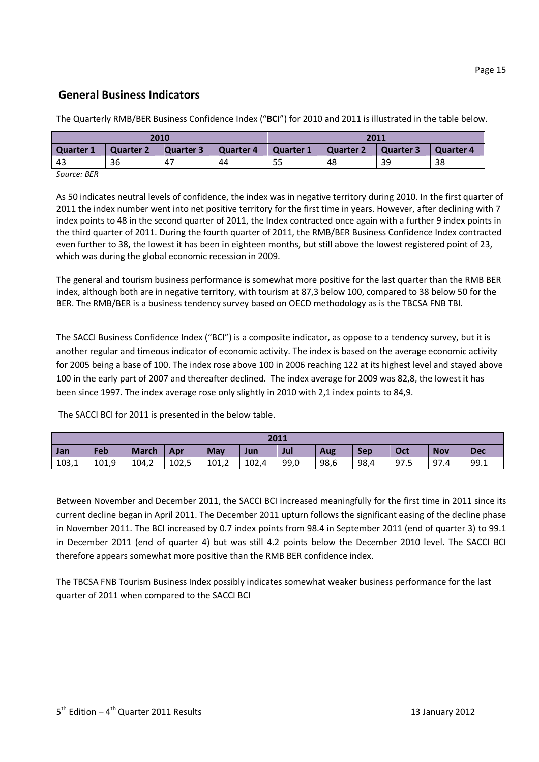# **General Business Indicators**

The Quarterly RMB/BER Business Confidence Index ("**BCI**") for 2010 and 2011 is illustrated in the table below.

| 2010           |                  |           |           | 2011      |           |                  |                  |  |
|----------------|------------------|-----------|-----------|-----------|-----------|------------------|------------------|--|
| Quarter 1      | <b>Quarter 2</b> | Quarter 3 | Quarter 4 | Quarter 1 | Quarter 2 | <b>Quarter 3</b> | <b>Quarter 4</b> |  |
| 43             | 36               | 47        | 44        | 55        | 48        | 39               | 38               |  |
| $C_{\text{A}}$ |                  |           |           |           |           |                  |                  |  |

*Source: BER* 

As 50 indicates neutral levels of confidence, the index was in negative territory during 2010. In the first quarter of 2011 the index number went into net positive territory for the first time in years. However, after declining with 7 index points to 48 in the second quarter of 2011, the Index contracted once again with a further 9 index points in the third quarter of 2011. During the fourth quarter of 2011, the RMB/BER Business Confidence Index contracted even further to 38, the lowest it has been in eighteen months, but still above the lowest registered point of 23, which was during the global economic recession in 2009.

The general and tourism business performance is somewhat more positive for the last quarter than the RMB BER index, although both are in negative territory, with tourism at 87,3 below 100, compared to 38 below 50 for the BER. The RMB/BER is a business tendency survey based on OECD methodology as is the TBCSA FNB TBI.

The SACCI Business Confidence Index ("BCI") is a composite indicator, as oppose to a tendency survey, but it is another regular and timeous indicator of economic activity. The index is based on the average economic activity for 2005 being a base of 100. The index rose above 100 in 2006 reaching 122 at its highest level and stayed above 100 in the early part of 2007 and thereafter declined. The index average for 2009 was 82,8, the lowest it has been since 1997. The index average rose only slightly in 2010 with 2,1 index points to 84,9.

The SACCI BCI for 2011 is presented in the below table.

| 2011  |       |              |       |            |       |      |      |            |      |            |            |
|-------|-------|--------------|-------|------------|-------|------|------|------------|------|------------|------------|
| Jan   | Feb   | <b>March</b> | Apr   | <b>May</b> | Jun   | Jul  | Aug  | <b>Sep</b> | Oct  | <b>Nov</b> | <b>Dec</b> |
| 103,1 | 101,9 | 104,2        | 102,5 | 101,2      | 102,4 | 99,0 | 98,6 | 98,4       | 97.5 | 97.4       | 99.1       |

Between November and December 2011, the SACCI BCI increased meaningfully for the first time in 2011 since its current decline began in April 2011. The December 2011 upturn follows the significant easing of the decline phase in November 2011. The BCI increased by 0.7 index points from 98.4 in September 2011 (end of quarter 3) to 99.1 in December 2011 (end of quarter 4) but was still 4.2 points below the December 2010 level. The SACCI BCI therefore appears somewhat more positive than the RMB BER confidence index.

The TBCSA FNB Tourism Business Index possibly indicates somewhat weaker business performance for the last quarter of 2011 when compared to the SACCI BCI